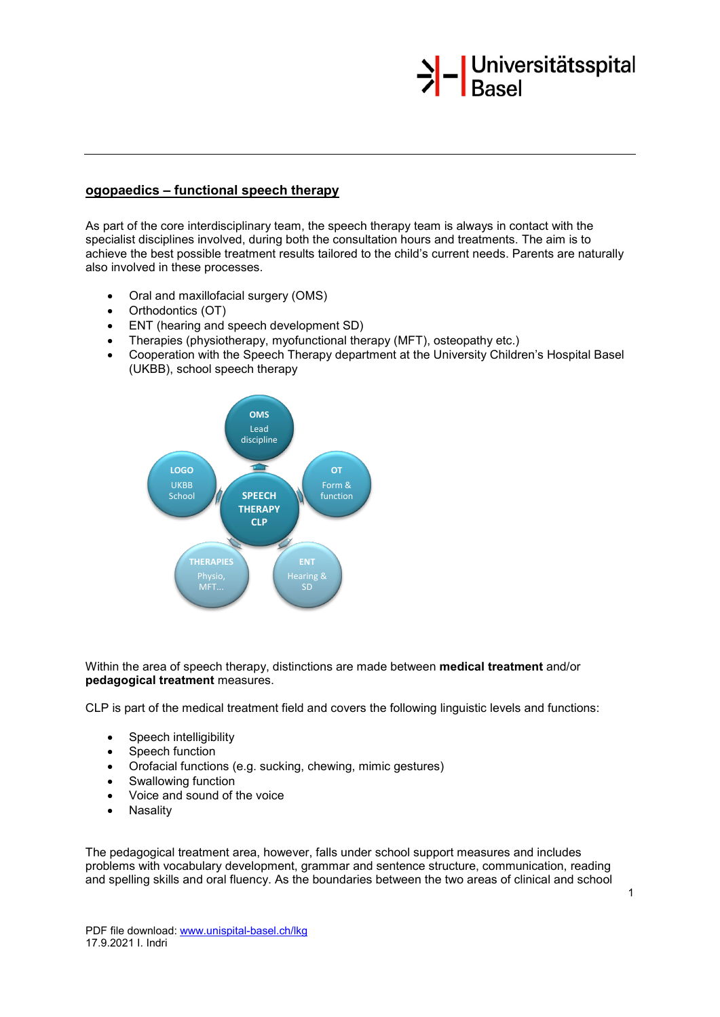

# **ogopaedics – functional speech therapy**

As part of the core interdisciplinary team, the speech therapy team is always in contact with the specialist disciplines involved, during both the consultation hours and treatments. The aim is to achieve the best possible treatment results tailored to the child's current needs. Parents are naturally also involved in these processes.

- Oral and maxillofacial surgery (OMS)
- Orthodontics (OT)
- ENT (hearing and speech development SD)
- Therapies (physiotherapy, myofunctional therapy (MFT), osteopathy etc.)
- Cooperation with the Speech Therapy department at the University Children's Hospital Basel (UKBB), school speech therapy



## Within the area of speech therapy, distinctions are made between **medical treatment** and/or **pedagogical treatment** measures.

CLP is part of the medical treatment field and covers the following linguistic levels and functions:

- Speech intelligibility<br>• Speech function
- Speech function
- Orofacial functions (e.g. sucking, chewing, mimic gestures)
- Swallowing function
- Voice and sound of the voice
- **Nasality**

The pedagogical treatment area, however, falls under school support measures and includes problems with vocabulary development, grammar and sentence structure, communication, reading and spelling skills and oral fluency. As the boundaries between the two areas of clinical and school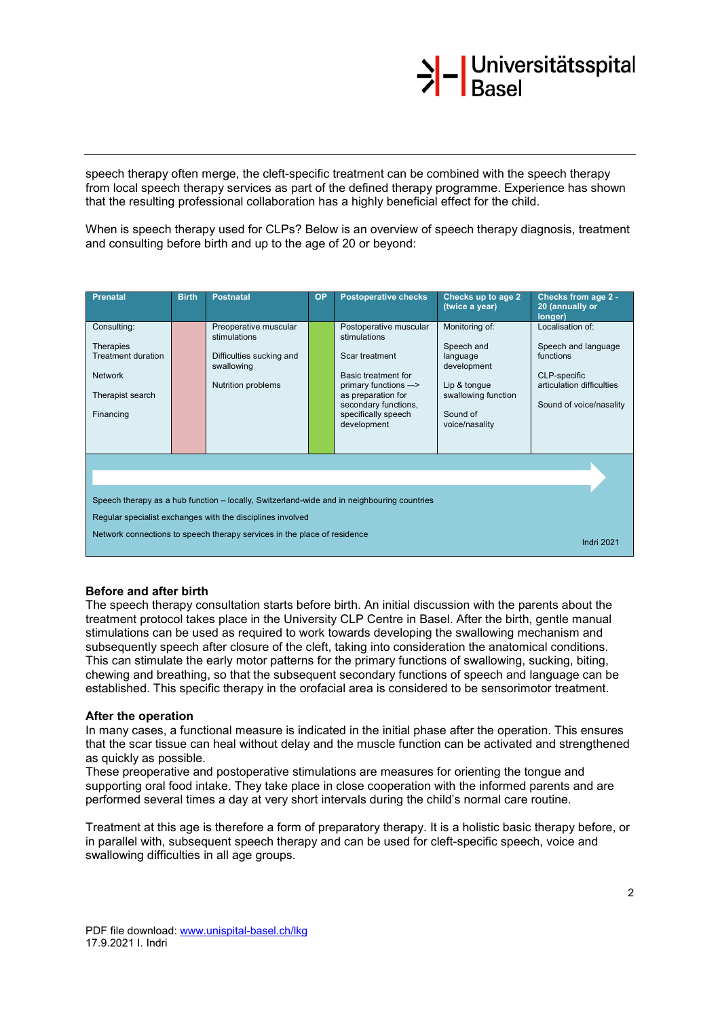# >|-<br>Basel

speech therapy often merge, the cleft-specific treatment can be combined with the speech therapy from local speech therapy services as part of the defined therapy programme. Experience has shown that the resulting professional collaboration has a highly beneficial effect for the child.

When is speech therapy used for CLPs? Below is an overview of speech therapy diagnosis, treatment and consulting before birth and up to the age of 20 or beyond:

| Prenatal                                                                                                                                                                                                                             | <b>Birth</b> | <b>Postnatal</b>                                                                                      | <b>OP</b> | <b>Postoperative checks</b>                                                                                                                                                                  | Checks up to age 2<br>(twice a year)                                                                                         | Checks from age 2 -<br>20 (annually or<br>longer)                                                                            |
|--------------------------------------------------------------------------------------------------------------------------------------------------------------------------------------------------------------------------------------|--------------|-------------------------------------------------------------------------------------------------------|-----------|----------------------------------------------------------------------------------------------------------------------------------------------------------------------------------------------|------------------------------------------------------------------------------------------------------------------------------|------------------------------------------------------------------------------------------------------------------------------|
| Consulting:<br><b>Therapies</b><br><b>Treatment duration</b><br><b>Network</b><br>Therapist search<br>Financing                                                                                                                      |              | Preoperative muscular<br>stimulations<br>Difficulties sucking and<br>swallowing<br>Nutrition problems |           | Postoperative muscular<br>stimulations<br>Scar treatment<br>Basic treatment for<br>primary functions --><br>as preparation for<br>secondary functions,<br>specifically speech<br>development | Monitoring of:<br>Speech and<br>language<br>development<br>Lip & tongue<br>swallowing function<br>Sound of<br>voice/nasality | Localisation of:<br>Speech and language<br>functions<br>CLP-specific<br>articulation difficulties<br>Sound of voice/nasality |
| Speech therapy as a hub function – locally, Switzerland-wide and in neighbouring countries<br>Regular specialist exchanges with the disciplines involved<br>Network connections to speech therapy services in the place of residence |              |                                                                                                       |           |                                                                                                                                                                                              |                                                                                                                              |                                                                                                                              |
| <b>Indri 2021</b>                                                                                                                                                                                                                    |              |                                                                                                       |           |                                                                                                                                                                                              |                                                                                                                              |                                                                                                                              |

## **Before and after birth**

The speech therapy consultation starts before birth. An initial discussion with the parents about the treatment protocol takes place in the University CLP Centre in Basel. After the birth, gentle manual stimulations can be used as required to work towards developing the swallowing mechanism and subsequently speech after closure of the cleft, taking into consideration the anatomical conditions. This can stimulate the early motor patterns for the primary functions of swallowing, sucking, biting, chewing and breathing, so that the subsequent secondary functions of speech and language can be established. This specific therapy in the orofacial area is considered to be sensorimotor treatment.

## **After the operation**

In many cases, a functional measure is indicated in the initial phase after the operation. This ensures that the scar tissue can heal without delay and the muscle function can be activated and strengthened as quickly as possible.

These preoperative and postoperative stimulations are measures for orienting the tongue and supporting oral food intake. They take place in close cooperation with the informed parents and are performed several times a day at very short intervals during the child's normal care routine.

Treatment at this age is therefore a form of preparatory therapy. It is a holistic basic therapy before, or in parallel with, subsequent speech therapy and can be used for cleft-specific speech, voice and swallowing difficulties in all age groups.